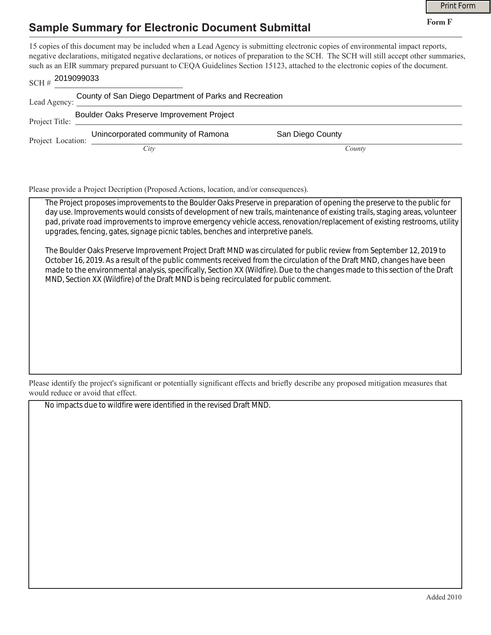## **Sample Summary for Electronic Document Submittal**

|                                                                        |                                                                                                                                                                                                                                                                                                                                                                                                             |                  | <b>Print Form</b> |
|------------------------------------------------------------------------|-------------------------------------------------------------------------------------------------------------------------------------------------------------------------------------------------------------------------------------------------------------------------------------------------------------------------------------------------------------------------------------------------------------|------------------|-------------------|
|                                                                        | <b>Sample Summary for Electronic Document Submittal</b>                                                                                                                                                                                                                                                                                                                                                     |                  | Form F            |
| 2019099033<br>SCH#                                                     | 15 copies of this document may be included when a Lead Agency is submitting electronic copies of environmental impact reports,<br>negative declarations, mitigated negative declarations, or notices of preparation to the SCH. The SCH will still accept other summaries,<br>such as an EIR summary prepared pursuant to CEQA Guidelines Section 15123, attached to the electronic copies of the document. |                  |                   |
| County of San Diego Department of Parks and Recreation<br>Lead Agency: |                                                                                                                                                                                                                                                                                                                                                                                                             |                  |                   |
| Project Title:                                                         | Boulder Oaks Preserve Improvement Project                                                                                                                                                                                                                                                                                                                                                                   |                  |                   |
| Project Location:                                                      | Unincorporated community of Ramona                                                                                                                                                                                                                                                                                                                                                                          | San Diego County |                   |
|                                                                        | City                                                                                                                                                                                                                                                                                                                                                                                                        | County           |                   |

Please provide a Project Decription (Proposed Actions, location, and/or consequences).

The Project proposes improvements to the Boulder Oaks Preserve in preparation of opening the preserve to the public for day use. Improvements would consists of development of new trails, maintenance of existing trails, staging areas, volunteer pad, private road improvements to improve emergency vehicle access, renovation/replacement of existing restrooms, utility upgrades, fencing, gates, signage picnic tables, benches and interpretive panels.

The Boulder Oaks Preserve Improvement Project Draft MND was circulated for public review from September 12, 2019 to October 16, 2019. As a result of the public comments received from the circulation of the Draft MND, changes have been made to the environmental analysis, specifically, Section XX (Wildfire). Due to the changes made to this section of the Draft MND, Section XX (Wildfire) of the Draft MND is being recirculated for public comment.

Please identify the project's significant or potentially significant effects and briefly describe any proposed mitigation measures that would reduce or avoid that effect.

No impacts due to wildfire were identified in the revised Draft MND.